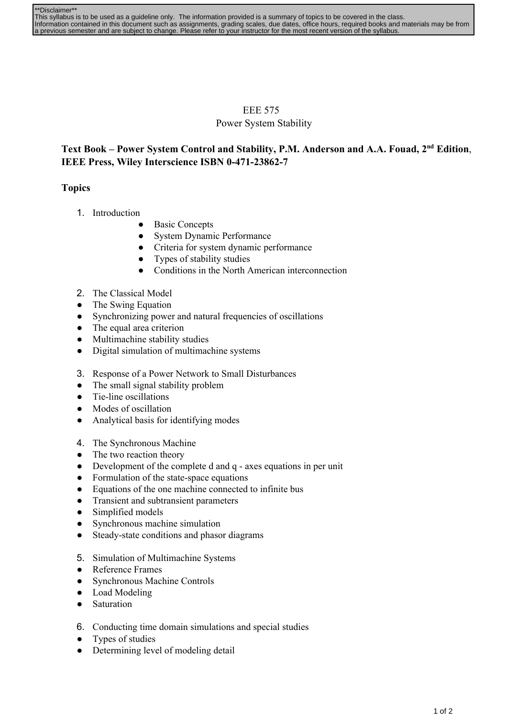| **Disclaimer**                                                                                                                                |
|-----------------------------------------------------------------------------------------------------------------------------------------------|
| This syllabus is to be used as a quideline only. The information provided is a summary of topics to be covered in the class.                  |
| Information contained in this document such as assignments, grading scales, due dates, office hours, required books and materials may be from |
| a previous semester and are subject to change. Please refer to your instructor for the most recent version of the syllabus.                   |

## EEE 575 Power System Stability

## **Text Book – Power System Control and Stability, P.M. Anderson and A.A. Fouad, 2 nd Edition**, **IEEE Press, Wiley Interscience ISBN 0471238627**

## **Topics**

- 1. Introduction
	- **Basic Concepts**
	- System Dynamic Performance
	- Criteria for system dynamic performance
	- Types of stability studies
	- Conditions in the North American interconnection
- 2. The Classical Model
- The Swing Equation
- Synchronizing power and natural frequencies of oscillations
- The equal area criterion
- Multimachine stability studies
- Digital simulation of multimachine systems
- 3. Response of a Power Network to Small Disturbances
- The small signal stability problem
- Tie-line oscillations
- Modes of oscillation
- Analytical basis for identifying modes
- 4. The Synchronous Machine
- The two reaction theory
- Development of the complete d and  $q$  axes equations in per unit
- Formulation of the state-space equations
- Equations of the one machine connected to infinite bus
- Transient and subtransient parameters
- Simplified models
- Synchronous machine simulation
- Steady-state conditions and phasor diagrams
- 5. Simulation of Multimachine Systems
- Reference Frames
- Synchronous Machine Controls
- Load Modeling
- Saturation
- 6. Conducting time domain simulations and special studies
- Types of studies
- Determining level of modeling detail